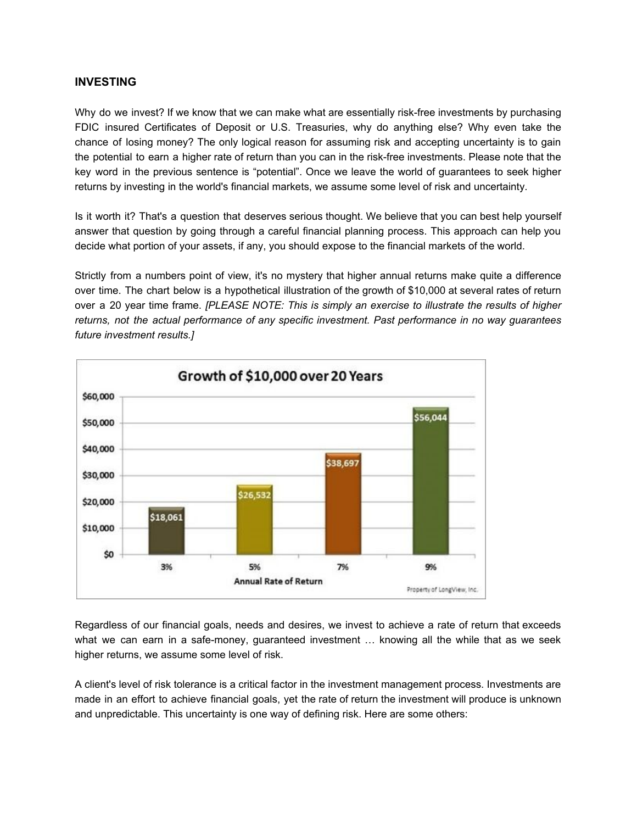## **INVESTING**

Why do we invest? If we know that we can make what are essentially risk-free investments by purchasing FDIC insured Certificates of Deposit or U.S. Treasuries, why do anything else? Why even take the chance of losing money? The only logical reason for assuming risk and accepting uncertainty is to gain the potential to earn a higher rate of return than you can in the risk-free investments. Please note that the key word in the previous sentence is "potential". Once we leave the world of guarantees to seek higher returns by investing in the world's financial markets, we assume some level of risk and uncertainty.

Is it worth it? That's a question that deserves serious thought. We believe that you can best help yourself answer that question by going through a careful financial planning process. This approach can help you decide what portion of your assets, if any, you should expose to the financial markets of the world.

Strictly from a numbers point of view, it's no mystery that higher annual returns make quite a difference over time. The chart below is a hypothetical illustration of the growth of \$10,000 at several rates of return over a 20 year time frame. *[PLEASE NOTE: This is simply an exercise to illustrate the results of higher returns, not the actual performance of any specific investment. Past performance in no way guarantees future investment results.]*



Regardless of our financial goals, needs and desires, we invest to achieve a rate of return that exceeds what we can earn in a safe-money, guaranteed investment ... knowing all the while that as we seek higher returns, we assume some level of risk.

A client's level of risk tolerance is a critical factor in the investment management process. Investments are made in an effort to achieve financial goals, yet the rate of return the investment will produce is unknown and unpredictable. This uncertainty is one way of defining risk. Here are some others: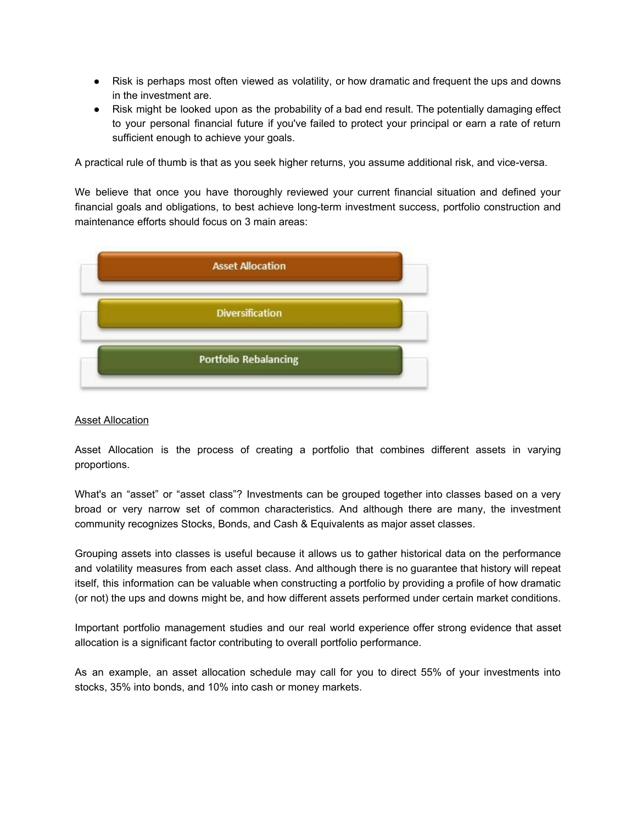- Risk is perhaps most often viewed as volatility, or how dramatic and frequent the ups and downs in the investment are.
- Risk might be looked upon as the probability of a bad end result. The potentially damaging effect to your personal financial future if you've failed to protect your principal or earn a rate of return sufficient enough to achieve your goals.

A practical rule of thumb is that as you seek higher returns, you assume additional risk, and vice-versa.

We believe that once you have thoroughly reviewed your current financial situation and defined your financial goals and obligations, to best achieve long-term investment success, portfolio construction and maintenance efforts should focus on 3 main areas:



## Asset Allocation

Asset Allocation is the process of creating a portfolio that combines different assets in varying proportions.

What's an "asset" or "asset class"? Investments can be grouped together into classes based on a very broad or very narrow set of common characteristics. And although there are many, the investment community recognizes Stocks, Bonds, and Cash & Equivalents as major asset classes.

Grouping assets into classes is useful because it allows us to gather historical data on the performance and volatility measures from each asset class. And although there is no guarantee that history will repeat itself, this information can be valuable when constructing a portfolio by providing a profile of how dramatic (or not) the ups and downs might be, and how different assets performed under certain market conditions.

Important portfolio management studies and our real world experience offer strong evidence that asset allocation is a significant factor contributing to overall portfolio performance.

As an example, an asset allocation schedule may call for you to direct 55% of your investments into stocks, 35% into bonds, and 10% into cash or money markets.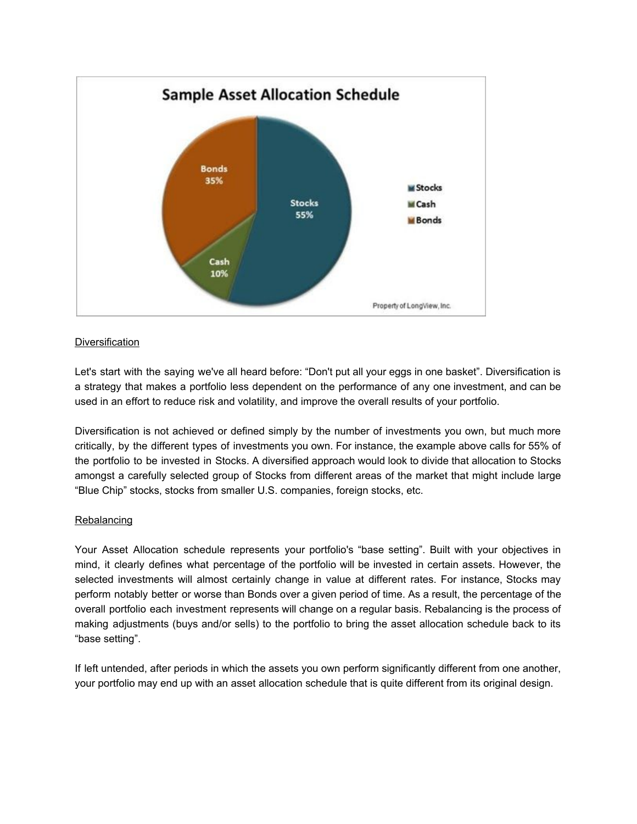

## **Diversification**

Let's start with the saying we've all heard before: "Don't put all your eggs in one basket". Diversification is a strategy that makes a portfolio less dependent on the performance of any one investment, and can be used in an effort to reduce risk and volatility, and improve the overall results of your portfolio.

Diversification is not achieved or defined simply by the number of investments you own, but much more critically, by the different types of investments you own. For instance, the example above calls for 55% of the portfolio to be invested in Stocks. A diversified approach would look to divide that allocation to Stocks amongst a carefully selected group of Stocks from different areas of the market that might include large "Blue Chip" stocks, stocks from smaller U.S. companies, foreign stocks, etc.

## **Rebalancing**

Your Asset Allocation schedule represents your portfolio's "base setting". Built with your objectives in mind, it clearly defines what percentage of the portfolio will be invested in certain assets. However, the selected investments will almost certainly change in value at different rates. For instance, Stocks may perform notably better or worse than Bonds over a given period of time. As a result, the percentage of the overall portfolio each investment represents will change on a regular basis. Rebalancing is the process of making adjustments (buys and/or sells) to the portfolio to bring the asset allocation schedule back to its "base setting".

If left untended, after periods in which the assets you own perform significantly different from one another, your portfolio may end up with an asset allocation schedule that is quite different from its original design.